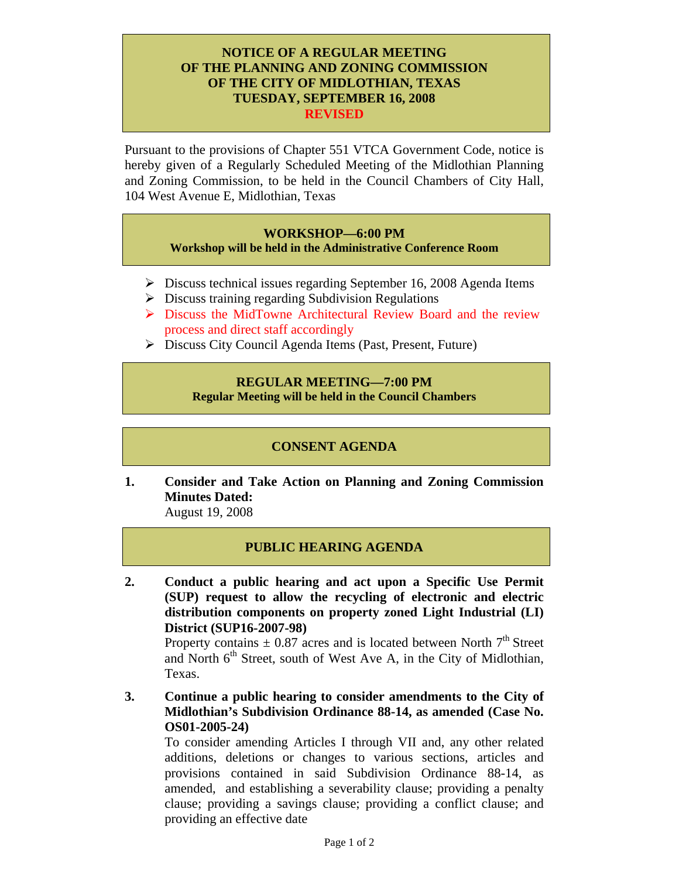## **NOTICE OF A REGULAR MEETING OF THE PLANNING AND ZONING COMMISSION OF THE CITY OF MIDLOTHIAN, TEXAS TUESDAY, SEPTEMBER 16, 2008 REVISED**

Pursuant to the provisions of Chapter 551 VTCA Government Code, notice is hereby given of a Regularly Scheduled Meeting of the Midlothian Planning and Zoning Commission, to be held in the Council Chambers of City Hall, 104 West Avenue E, Midlothian, Texas

#### **WORKSHOP—6:00 PM Workshop will be held in the Administrative Conference Room**

- $\triangleright$  Discuss technical issues regarding September 16, 2008 Agenda Items
- $\triangleright$  Discuss training regarding Subdivision Regulations
- ¾ Discuss the MidTowne Architectural Review Board and the review process and direct staff accordingly
- ¾ Discuss City Council Agenda Items (Past, Present, Future)

# **REGULAR MEETING—7:00 PM**

**Regular Meeting will be held in the Council Chambers** 

# **CONSENT AGENDA**

**1. Consider and Take Action on Planning and Zoning Commission Minutes Dated:** 

August 19, 2008

Ï

# **PUBLIC HEARING AGENDA**

**2. Conduct a public hearing and act upon a Specific Use Permit (SUP) request to allow the recycling of electronic and electric distribution components on property zoned Light Industrial (LI) District (SUP16-2007-98)**

Property contains  $\pm$  0.87 acres and is located between North 7<sup>th</sup> Street and North  $6<sup>th</sup>$  Street, south of West Ave A, in the City of Midlothian, Texas.

**3. Continue a public hearing to consider amendments to the City of Midlothian's Subdivision Ordinance 88-14, as amended (Case No. OS01-2005-24)** 

To consider amending Articles I through VII and, any other related additions, deletions or changes to various sections, articles and provisions contained in said Subdivision Ordinance 88-14, as amended, and establishing a severability clause; providing a penalty clause; providing a savings clause; providing a conflict clause; and providing an effective date